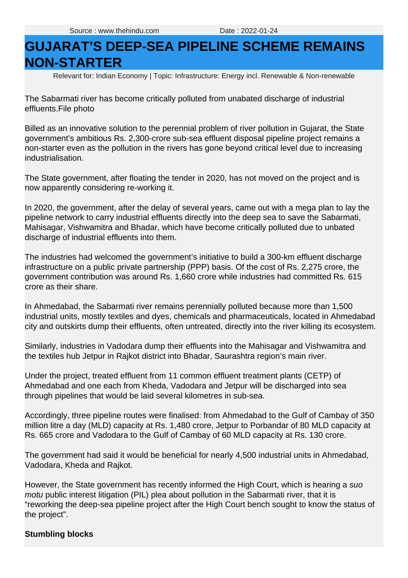## **GUJARAT'S DEEP-SEA PIPELINE SCHEME REMAINS NON-STARTER**

Relevant for: Indian Economy | Topic: Infrastructure: Energy incl. Renewable & Non-renewable

The Sabarmati river has become critically polluted from unabated discharge of industrial effluents.File photo

Billed as an innovative solution to the perennial problem of river pollution in Gujarat, the State government's ambitious Rs. 2,300-crore sub-sea effluent disposal pipeline project remains a non-starter even as the pollution in the rivers has gone beyond critical level due to increasing industrialisation.

The State government, after floating the tender in 2020, has not moved on the project and is now apparently considering re-working it.

effluents. File photo<br>
Billed as an innovative solution to the perennial problem of river pollution in Gujarat, the State<br>
Billed as an innovative solution in the rivers has gone beyond critical level due to increasing<br>
in In 2020, the government, after the delay of several years, came out with a mega plan to lay the pipeline network to carry industrial effluents directly into the deep sea to save the Sabarmati, Mahisagar, Vishwamitra and Bhadar, which have become critically polluted due to unbated discharge of industrial effluents into them.

The industries had welcomed the government's initiative to build a 300-km effluent discharge infrastructure on a public private partnership (PPP) basis. Of the cost of Rs. 2,275 crore, the government contribution was around Rs. 1,660 crore while industries had committed Rs. 615 crore as their share.

In Ahmedabad, the Sabarmati river remains perennially polluted because more than 1,500 industrial units, mostly textiles and dyes, chemicals and pharmaceuticals, located in Ahmedabad city and outskirts dump their effluents, often untreated, directly into the river killing its ecosystem.

Similarly, industries in Vadodara dump their effluents into the Mahisagar and Vishwamitra and the textiles hub Jetpur in Rajkot district into Bhadar, Saurashtra region's main river.

Under the project, treated effluent from 11 common effluent treatment plants (CETP) of Ahmedabad and one each from Kheda, Vadodara and Jetpur will be discharged into sea through pipelines that would be laid several kilometres in sub-sea.

Accordingly, three pipeline routes were finalised: from Ahmedabad to the Gulf of Cambay of 350 million litre a day (MLD) capacity at Rs. 1,480 crore, Jetpur to Porbandar of 80 MLD capacity at Rs. 665 crore and Vadodara to the Gulf of Cambay of 60 MLD capacity at Rs. 130 crore.

The government had said it would be beneficial for nearly 4,500 industrial units in Ahmedabad, Vadodara, Kheda and Rajkot.

However, the State government has recently informed the High Court, which is hearing a suo motu public interest litigation (PIL) plea about pollution in the Sabarmati river, that it is "reworking the deep-sea pipeline project after the High Court bench sought to know the status of the project".

## **Stumbling blocks**